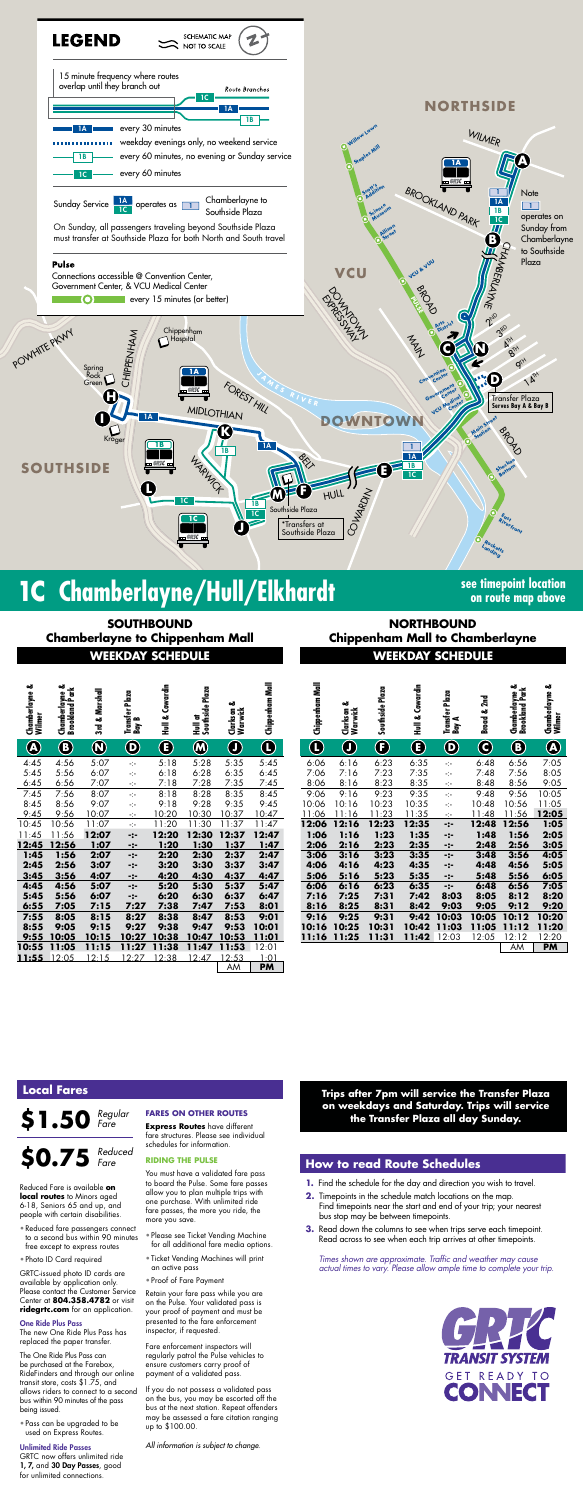

# **1C** Chamberlayne/Hull/Elkhardt **Supering the Chamberlayne Chamberlayne Hull Consection**

**on route map above**

**NORTHBOUND Chippenham Mall to Chamberlayne** 

**Trips after 7pm will service the Transfer Plaza on weekdays and Saturday. Trips will service the Transfer Plaza all day Sunday.**

*Times shown are approximate. Traffic and weather may cause actual times to vary. Please allow ample time to complete your trip.*



**WEEKDAY SCHEDULE WEEKDAY SCHEDULE SOUTHBOUND Chamberlayne to Chippenham Mall**

| Chamberlayne &<br>Wilmer | ఱ<br>Chamberlayne &<br>Brookland Park | 3rd & Marshall | Transfer Plaza<br>Bay B | Cowardin<br>Hull & | Hull at<br>Southside Plaza | త<br>Clarkson<br>Warwick | Chippenham Mall  | Chippenham Mall | ಹ<br>Clarkson &<br>Warwick | Southside Plaza | Hull & Cowardin | Transfer Plaza<br>Bass A  |
|--------------------------|---------------------------------------|----------------|-------------------------|--------------------|----------------------------|--------------------------|------------------|-----------------|----------------------------|-----------------|-----------------|---------------------------|
| $\bigcirc$               | $\bf{O}$                              | $\bm{\Omega}$  | $\bigcirc$              | $\bf \bf G$        | $\bm{\omega}$              | $\bigcirc$               | $\mathbf \Omega$ | $\bf \Theta$    | $\bigcirc$                 | $\bigcirc$      | $\bigcirc$      | $\mathbf{\Theta}$         |
| 4:45                     | 4:56                                  | 5:07           | ÷                       | 5:18               | 5:28                       | 5:35                     | 5:45             | 6:06            | 6:16                       | 6:23            | 6:35            | ÷                         |
| 5:45                     | 5:56                                  | 6:07           | ÷                       | 6:18               | 6:28                       | 6:35                     | 6:45             | 7:06            | 7:16                       | 7:23            | 7:35            | ÷                         |
| 6:45                     | 6:56                                  | 7:07           | ÷                       | 7:18               | 7:28                       | 7:35                     | 7:45             | 8:06            | 8:16                       | 8:23            | 8:35            | $\div$                    |
| 7:45                     | 7:56                                  | 8:07           | ÷                       | 8:18               | 8:28                       | 8:35                     | 8:45             | 9:06            | 9:16                       | 9:23            | 9:35            | ÷                         |
| 8:45                     | 8:56                                  | 9:07           | ÷                       | 9:18               | 9:28                       | 9:35                     | 9:45             | 10:06           | 10:16                      | 10:23           | 10:35           | ÷                         |
| 9:45                     | 9:56                                  | 10:07          | ÷                       | 10:20              | 10:30                      | 10:37                    | 10:47            | 11:06           | 11:16                      | 11:23           | 11:35           | $\mathcal{L}_\mathcal{C}$ |
| 10:45                    | 10:56                                 | 11:07          | ÷                       | 11:20              | 11:30                      | 11:37                    | 11:47            | 12:06           | 12:16                      | 12:23           | 12:35           | -:-                       |
| 11:45                    | 11:56                                 | 12:07          | $-2-$                   | 12:20              | 12:30                      | 12:37                    | 12:47            | 1:06            | 1:16                       | 1:23            | 1:35            | -:-                       |
| 12:45                    | 12:56                                 | 1:07           | -:-                     | 1:20               | <u>1:30</u>                | 1:37                     | 1:47             | 2:06            | 2:16                       | 2:23            | 2:35            | <u>-:-</u>                |
| 1:45                     | 1:56                                  | 2:07           | -:-                     | 2:20               | 2:30                       | 2:37                     | 2:47             | 3:06            | 3:16                       | 3:23            | 3:35            | -:-                       |
| 2:45                     | 2:56                                  | 3:07           | -:-                     | 3:20               | 3:30                       | 3:37                     | 3:47             | 4:06            | 4:16                       | 4:23            | 4:35            | -:-                       |
| 3:45                     | 3:56                                  | 4:07           | -:-                     | 4:20               | 4:30                       | 4:37                     | 4:47             | 5:06            | 5:16                       | 5:23            | 5:35            | <u>-:-</u>                |
| 4:45                     | 4:56                                  | 5:07           | $-2-$                   | 5:20               | 5:30                       | 5:37                     | 5:47             | 6:06            | 6:16                       | 6:23            | 6:35            | $-2-$                     |
| 5:45                     | 5:56                                  | 6:07           | $-2-$                   | 6:20               | 6:30                       | 6:37                     | 6:47             | 7:16            | 7:25                       | 7:31            | 7:42            | 8:0                       |
| 6:55                     | 7:05                                  | 7:15           | 7:27                    | 7:38               | 7:47                       | 7:53                     | 8:01             | 8:16            | 8:25                       | 8:31            | 8:42            | 9:0                       |
| 7:55                     | 8:05                                  | 8:15           | 8:27                    | 8:38               | 8:47                       | 8:53                     | 9:01             | 9:16            | 9:25                       | 9:31            | 9:42            | 10:0                      |
| 8:55                     | 9:05                                  | 9:15           | 9:27                    | 9:38               | 9:47                       | 9:53                     | 10:01            | 10:16           | 10:25                      | 10:31           | 10:42           | 11:0                      |
| 9:55                     | 10:05                                 | 10:15          | 10:27                   | 10:38              | 10:47                      | 10:53                    | 11:01            | <u>11:16</u>    | 11:25                      | 11:31           | <u>11:42</u>    | 12:0                      |
| 10:55                    | 11:05                                 | 11:15          | 11:27                   | 11:38              | 11:47                      | 11:53                    | 12:01            |                 |                            |                 |                 |                           |
| 11:55                    | 12:05                                 | 12:15          | 12:27                   | 12:38              | 12:47                      | 12:53                    | 1:01             |                 |                            |                 |                 |                           |
|                          |                                       |                |                         |                    |                            | AM                       | <b>PM</b>        |                 |                            |                 |                 |                           |

| õ<br>vuunue<br>Wilmer  | Chamberlayne &<br>Brookland Park | Marshall<br>ಹ<br>$\mathbb{R}$ | Plaza<br>Transfer I<br>Bay B | Cowardin<br>ಹ<br>쿨 | Hull at<br>Southside Plaza | ಹ<br>Clarkson<br>Warwick | Chippenham Mall  | Chippenham Mall | ఱ<br>Clarkson<br>Warwick | Southside Plaza            | Cowardin<br>ಹ<br>扂 | Plaza<br>Transfer I<br>Bay A        | 2 <sub>nd</sub><br>ಹ<br><b>Broad</b>                    | ಹ<br>Chamberlayne &<br>Brookland Park | ఱ<br>Chamberlayne {<br>Wilmer     |
|------------------------|----------------------------------|-------------------------------|------------------------------|--------------------|----------------------------|--------------------------|------------------|-----------------|--------------------------|----------------------------|--------------------|-------------------------------------|---------------------------------------------------------|---------------------------------------|-----------------------------------|
| $\widehat{\mathbf{B}}$ | $\bf{O}$                         | $\bigcirc$                    | $\bf \Phi$                   | $\bf \bf G$        | $\bigcirc$                 | $\mathbf 0$              | $\mathbf \Theta$ | $\mathbb G$     | $\bf \Theta$             | $\left( \mathbf{F}\right)$ | $\bigcirc$         | $\mathbf{\Theta}$                   | $\mathbf{C}% _{M_{1},M_{2}}^{\alpha,\beta}(\mathbf{A})$ | $\bigcircled{\textbf{B}}$             | $\bigcirc\hspace{-1.5ex}\bigcirc$ |
| :45                    | 4:56                             | 5:07                          | ÷                            | 5:18               | 5:28                       | 5:35                     | 5:45             | 6:06            | 6:16                     | 6:23                       | 6:35               | ÷                                   | 6:48                                                    | 6:56                                  | 7:05                              |
| :45                    | 5:56                             | 6:07                          | ÷                            | 6:18               | 6:28                       | 6:35                     | 6:45             | 7:06            | 7:16                     | 7:23                       | 7:35               | ÷                                   | 7:48                                                    | 7:56                                  | 8:05                              |
| :45                    | 6:56                             | 7:07                          | ÷                            | 7:18               | 7:28                       | 7:35                     | 7:45             | 8:06            | 8:16                     | 8:23                       | 8:35               | ÷t÷                                 | 8:48                                                    | 8:56                                  | 9:05                              |
| :45                    | 7:56                             | 8:07                          | ÷                            | 8:18               | 8:28                       | 8:35                     | 8:45             | 9:06            | 9:16                     | 9:23                       | 9:35               | ÷                                   | 9:48                                                    | 9:56                                  | 10:05                             |
| :45                    | 8:56                             | 9:07                          | ÷                            | 9:18               | 9:28                       | 9:35                     | 9:45             | 10:06           | 10:16                    | 10:23                      | 10:35              | ÷                                   | 10:48                                                   | 10:56                                 | 11:05                             |
| :45                    | 9:56                             | 10:07                         | ÷                            | 0:20               | 10:30                      | 10:37                    | 10:47            | 11:06           | 1:16                     | 11:23                      | 11:35              | $\mathcal{L}^{\text{L}}_{\text{c}}$ | 1:48                                                    | 11:56                                 | 12:05                             |
| :45                    | 0:56                             | 11:07                         | ÷                            | 11:20              | 11:30                      | 11:37                    | 1:47             | 12:06           | 12:16                    | 12:23                      | 12:35              | -:-                                 | 12:48                                                   | 12:56                                 | 1:05                              |
| :45                    | 1:56                             | 12:07                         | $-2-$                        | 12:20              | 12:30                      | 12:37                    | 12:47            | 1:06            | 1:16                     | 1:23                       | 1:35               | -:-                                 | 1:48                                                    | 1:56                                  | 2:05                              |
| :45                    | 12:56                            | 1:07                          | -:-                          | 1:20               | 1:30                       | 1:37                     | 1:47             | 2:06            | 2:16                     | 2:23                       | 2:35               | -:-                                 | 2:48                                                    | 2:56                                  | 3:05                              |
| :45                    | 1:56                             | 2:07                          | -:-                          | 2:20               | 2:30                       | 2:37                     | 2:47             | 3:06            | 3:16                     | 3:23                       | 3:35               | -:-                                 | 3:48                                                    | 3:56                                  | 4:05                              |
| :45                    | 2:56                             | 3:07                          | -:-                          | 3:20               | 3:30                       | 3:37                     | 3:47             | 4:06            | 4:16                     | 4:23                       | 4:35               | -:-                                 | 4:48                                                    | 4:56                                  | 5:05                              |
| :45                    | 3:56                             | 4:07                          | -:-                          | 4:20               | 4:30                       | 4:37                     | 4:47             | 5:06            | 5:16                     | 5:23                       | 5:35               | -:-                                 | 5:48                                                    | 5:56                                  | 6:05                              |
| :45                    | 4:56                             | 5:07                          | -:-                          | 5:20               | 5:30                       | 5:37                     | 5:47             | 6:06            | 6:16                     | 6:23                       | 6:35               | -:-                                 | 6:48                                                    | 6:56                                  | 7:05                              |
| :45                    | 5:56                             | 6:07                          | -:-                          | 6:20               | 6:30                       | 6:37                     | 6:47             | 7:16            | 7:25                     | 7:31                       | 7:42               | 8:03                                | 8:05                                                    | 8:12                                  | 8:20                              |
| :55                    | 7:05                             | 7:15                          | 7:27                         | 7:38               | 7:47                       | 7:53                     | 8:01             | 8:16            | 8:25                     | 8:31                       | 8:42               | 9:03                                | 9:05                                                    | 9:12                                  | 9:20                              |
| :55                    | 8:05                             | 8:15                          | 8:27                         | 8:38               | 8:47                       | 8:53                     | 9:01             | 9:16            | 9:25                     | 9:31                       | 9:42               | 10:03                               | 10:05                                                   | 10:12                                 | 10:20                             |
| :55                    | 9:05                             | 9:15                          | 9:27                         | 9:38               | 9:47                       | 9:53                     | 10:01            | 10:16           | 10:25                    | 10:31                      | 10:42              | 11:03                               | 11:05                                                   | 11:12                                 | 11:20                             |
| :55                    | 10:05                            | 10:15                         | 10:27                        | 10:38              | 10:47                      | 10:53                    | 11:01            | 11:16           | 11:25                    | 11:31                      | 11:42              | 12:03                               | 12:05                                                   | 12:12                                 | 12:20                             |
| :55                    | 11:05                            | 11:15                         | 11:27                        | 11:38              | 11:47                      | 11:53                    | 12:01            |                 |                          |                            |                    |                                     |                                                         | AM                                    | <b>PM</b>                         |

## **How to read Route Schedules**

- **1.** Find the schedule for the day and direction you wish to travel.
- **2.** Timepoints in the schedule match locations on the map. Find timepoints near the start and end of your trip; your nearest bus stop may be between timepoints.
- **3.** Read down the columns to see when trips serve each timepoint. Read across to see when each trip arrives at other timepoints.

## **Local Fares**

**\$1.50** *Regular Fare*

Reduced Fare is available **on local routes** to Minors aged 6-18, Seniors 65 and up, and people with certain disabilities.

• Reduced fare passengers connect to a second bus within 90 minutes free except to express routes

• Photo ID Card required

GRTC-issued photo ID cards are available by application only. Please contact the Customer Service Center at **804.358.4782** or visit **ridegrtc.com** for an application.

#### One Ride Plus Pass

**\$0.75** *Reduced Fare*

The new One Ride Plus Pass has replaced the paper transfer.

The One Ride Plus Pass can be purchased at the Farebox, RideFinders and through our online transit store, costs \$1.75, and allows riders to connect to a second bus within 90 minutes of the pass being issued.

• Pass can be upgraded to be used on Express Routes.

#### Unlimited Ride Passes

GRTC now offers unlimited ride 1, 7, and 30 Day Passes, good for unlimited connections.

### **FARES ON OTHER ROUTES**

**Express Routes** have different fare structures. Please see individual schedules for information.

#### **RIDING THE PULSE**

You must have a validated fare pass to board the Pulse. Some fare passes allow you to plan multiple trips with one purchase. With unlimited ride fare passes, the more you ride, the more you save.

- Please see Ticket Vending Machine for all additional fare media options.
- Ticket Vending Machines will print an active pass
- Proof of Fare Payment

Retain your fare pass while you are on the Pulse. Your validated pass is your proof of payment and must be presented to the fare enforcement inspector, if requested.

Fare enforcement inspectors will regularly patrol the Pulse vehicles to ensure customers carry proof of payment of a validated pass.

If you do not possess a validated pass on the bus, you may be escorted off the bus at the next station. Repeat offenders may be assessed a fare citation ranging up to \$100.00.

*All information is subject to change.*